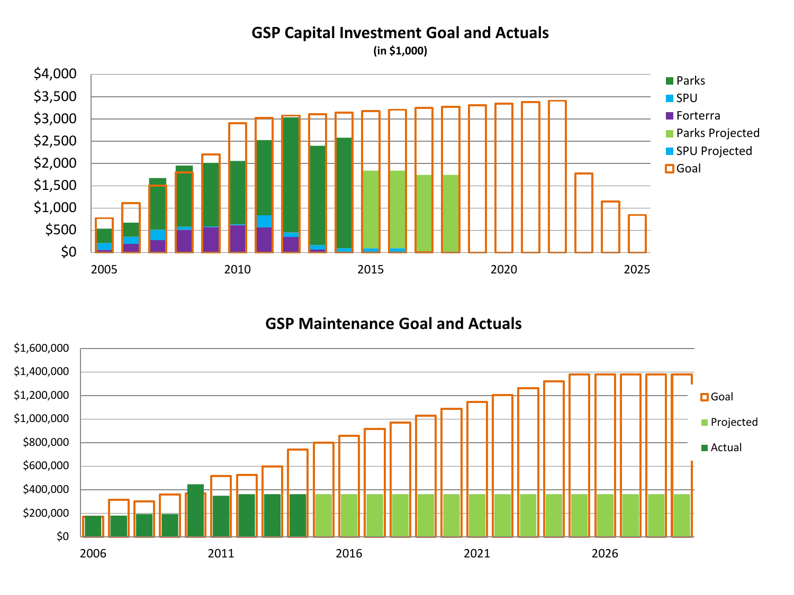## **GSP Capital Investment Goal and Actuals**

**(in \$1,000)** 



# **GSP Maintenance Goal and Actuals**

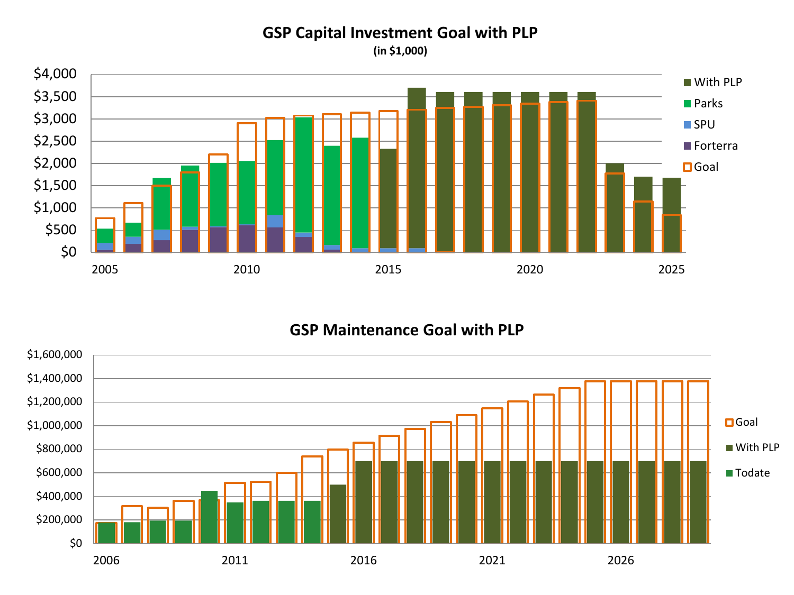#### **GSP Capital Investment Goal with PLP**

**(in \$1,000)** 



## **GSP Maintenance Goal with PLP**

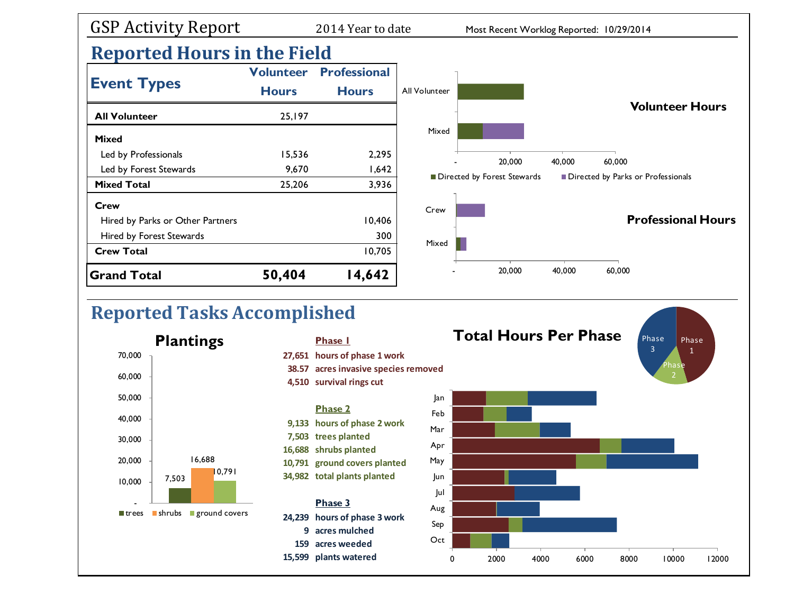